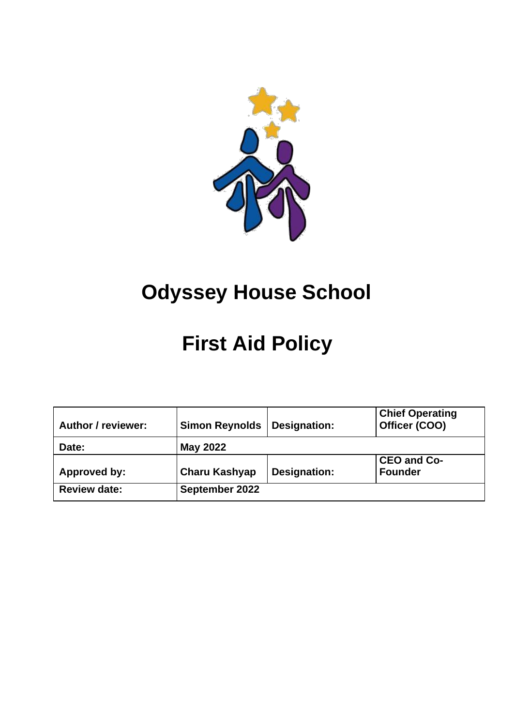

# **Odyssey House School**

# **First Aid Policy**

| <b>Author / reviewer:</b> | <b>Simon Reynolds</b> | Designation: | <b>Chief Operating</b><br>Officer (COO) |  |  |
|---------------------------|-----------------------|--------------|-----------------------------------------|--|--|
| Date:                     | May 2022              |              |                                         |  |  |
| Approved by:              | <b>Charu Kashyap</b>  | Designation: | <b>CEO and Co-</b><br><b>Founder</b>    |  |  |
| <b>Review date:</b>       | September 2022        |              |                                         |  |  |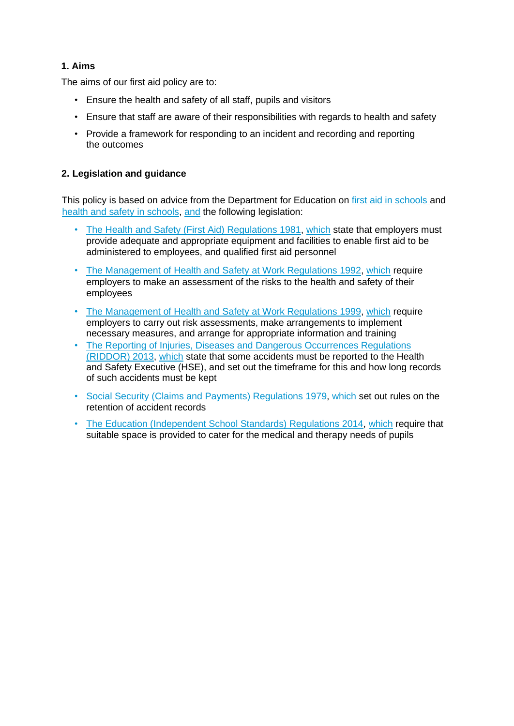#### **1. Aims**

The aims of our first aid policy are to:

- Ensure the health and safety of all staff, pupils and visitors
- Ensure that staff are aware of their responsibilities with regards to health and safety
- Provide a framework for responding to an incident and recording and reporting the outcomes

#### **2. Legislation and guidance**

This policy is based on advice from the Department for Education on [first aid in schools](https://www.gov.uk/government/publications/first-aid-in-schools) and [health and safety in schools, a](https://www.gov.uk/government/publications/health-and-safety-advice-for-schools)nd the following legislation:

- The Health and [Safety \(First Aid\) Regulations 1981, w](http://www.legislation.gov.uk/uksi/1981/917/regulation/3/made)hich state that employers must provide adequate and appropriate equipment and facilities to enable first aid to be administered to employees, and qualified first aid personnel
- [The Management of Health and Safety at Work Regulations 1992, w](http://www.legislation.gov.uk/uksi/1992/2051/regulation/3/made)hich require employers to make an assessment of the risks to the health and safety of their employees
- [The Management of Health and Safety at Work Regulations 1999, w](http://www.legislation.gov.uk/uksi/1999/3242/contents/made)hich require employers to carry out risk assessments, make arrangements to implement necessary measures, and arrange for appropriate information and training
- [The Reporting of Injuries, Diseases and Dangerous Occurrences Regulations](http://www.legislation.gov.uk/uksi/2013/1471/schedule/1/paragraph/1/made) [\(RIDDOR\) 2013,](http://www.legislation.gov.uk/uksi/2013/1471/schedule/1/paragraph/1/made) which state that some accidents must be reported to the Health and Safety Executive (HSE), and set out the timeframe for this and how long records of such accidents must be kept
- [Social Security \(Claims and Payments\) Regulations 1979, w](http://www.legislation.gov.uk/uksi/1979/628)hich set out rules on the retention of accident records
- [The Education \(Independent School Standards\) Regulations 2014, w](http://www.legislation.gov.uk/uksi/2014/3283/schedule/made)hich require that suitable space is provided to cater for the medical and therapy needs of pupils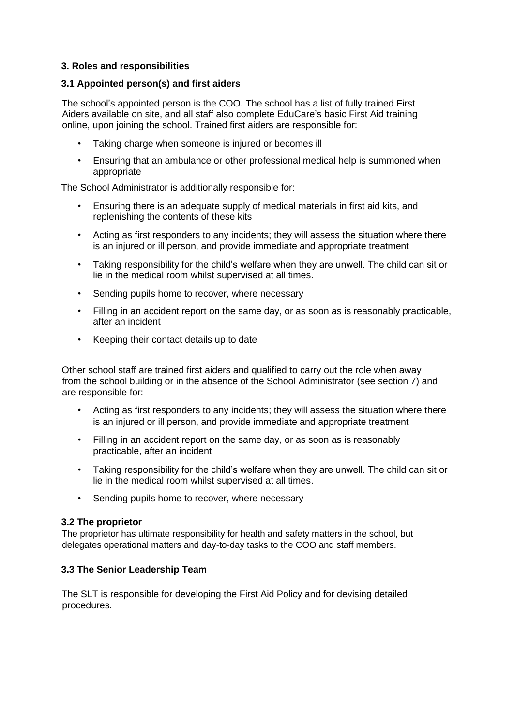#### **3. Roles and responsibilities**

#### **3.1 Appointed person(s) and first aiders**

The school's appointed person is the COO. The school has a list of fully trained First Aiders available on site, and all staff also complete EduCare's basic First Aid training online, upon joining the school. Trained first aiders are responsible for:

- Taking charge when someone is injured or becomes ill
- Ensuring that an ambulance or other professional medical help is summoned when appropriate

The School Administrator is additionally responsible for:

- Ensuring there is an adequate supply of medical materials in first aid kits, and replenishing the contents of these kits
- Acting as first responders to any incidents; they will assess the situation where there is an injured or ill person, and provide immediate and appropriate treatment
- Taking responsibility for the child's welfare when they are unwell. The child can sit or lie in the medical room whilst supervised at all times.
- Sending pupils home to recover, where necessary
- Filling in an accident report on the same day, or as soon as is reasonably practicable, after an incident
- Keeping their contact details up to date

Other school staff are trained first aiders and qualified to carry out the role when away from the school building or in the absence of the School Administrator (see section 7) and are responsible for:

- Acting as first responders to any incidents; they will assess the situation where there is an injured or ill person, and provide immediate and appropriate treatment
- Filling in an accident report on the same day, or as soon as is reasonably practicable, after an incident
- Taking responsibility for the child's welfare when they are unwell. The child can sit or lie in the medical room whilst supervised at all times.
- Sending pupils home to recover, where necessary

#### **3.2 The proprietor**

The proprietor has ultimate responsibility for health and safety matters in the school, but delegates operational matters and day-to-day tasks to the COO and staff members.

#### **3.3 The Senior Leadership Team**

The SLT is responsible for developing the First Aid Policy and for devising detailed procedures.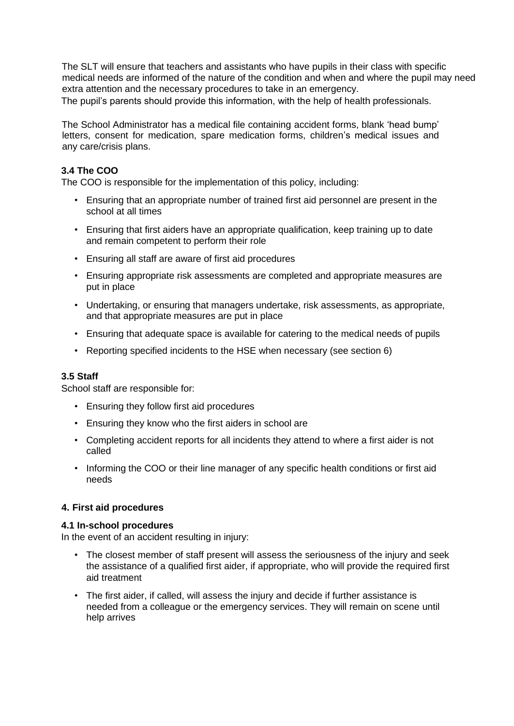The SLT will ensure that teachers and assistants who have pupils in their class with specific medical needs are informed of the nature of the condition and when and where the pupil may need extra attention and the necessary procedures to take in an emergency. The pupil's parents should provide this information, with the help of health professionals.

The School Administrator has a medical file containing accident forms, blank 'head bump' letters, consent for medication, spare medication forms, children's medical issues and any care/crisis plans.

#### **3.4 The COO**

The COO is responsible for the implementation of this policy, including:

- Ensuring that an appropriate number of trained first aid personnel are present in the school at all times
- Ensuring that first aiders have an appropriate qualification, keep training up to date and remain competent to perform their role
- Ensuring all staff are aware of first aid procedures
- Ensuring appropriate risk assessments are completed and appropriate measures are put in place
- Undertaking, or ensuring that managers undertake, risk assessments, as appropriate, and that appropriate measures are put in place
- Ensuring that adequate space is available for catering to the medical needs of pupils
- Reporting specified incidents to the HSE when necessary (see section 6)

#### **3.5 Staff**

School staff are responsible for:

- Ensuring they follow first aid procedures
- Ensuring they know who the first aiders in school are
- Completing accident reports for all incidents they attend to where a first aider is not called
- Informing the COO or their line manager of any specific health conditions or first aid needs

#### **4. First aid procedures**

#### **4.1 In-school procedures**

In the event of an accident resulting in injury:

- The closest member of staff present will assess the seriousness of the injury and seek the assistance of a qualified first aider, if appropriate, who will provide the required first aid treatment
- The first aider, if called, will assess the injury and decide if further assistance is needed from a colleague or the emergency services. They will remain on scene until help arrives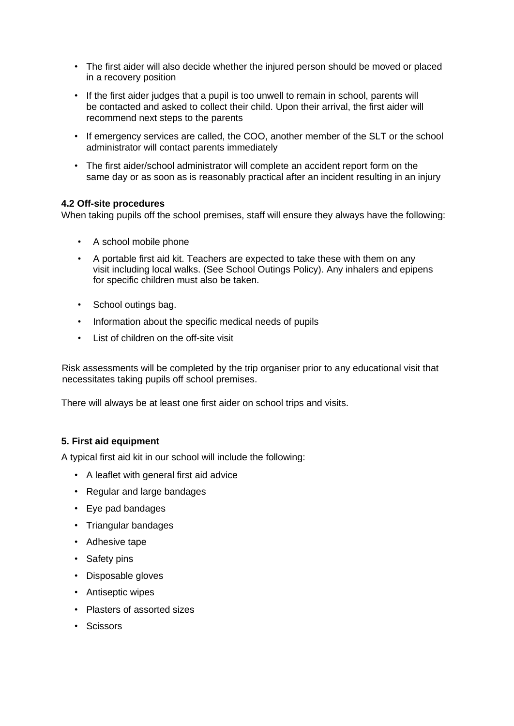- The first aider will also decide whether the injured person should be moved or placed in a recovery position
- If the first aider judges that a pupil is too unwell to remain in school, parents will be contacted and asked to collect their child. Upon their arrival, the first aider will recommend next steps to the parents
- If emergency services are called, the COO, another member of the SLT or the school administrator will contact parents immediately
- The first aider/school administrator will complete an accident report form on the same day or as soon as is reasonably practical after an incident resulting in an injury

#### **4.2 Off-site procedures**

When taking pupils off the school premises, staff will ensure they always have the following:

- A school mobile phone
- A portable first aid kit. Teachers are expected to take these with them on any visit including local walks. (See School Outings Policy). Any inhalers and epipens for specific children must also be taken.
- School outings bag.
- Information about the specific medical needs of pupils
- List of children on the off-site visit

Risk assessments will be completed by the trip organiser prior to any educational visit that necessitates taking pupils off school premises.

There will always be at least one first aider on school trips and visits.

#### **5. First aid equipment**

A typical first aid kit in our school will include the following:

- A leaflet with general first aid advice
- Regular and large bandages
- Eye pad bandages
- Triangular bandages
- Adhesive tape
- Safety pins
- Disposable gloves
- Antiseptic wipes
- Plasters of assorted sizes
- Scissors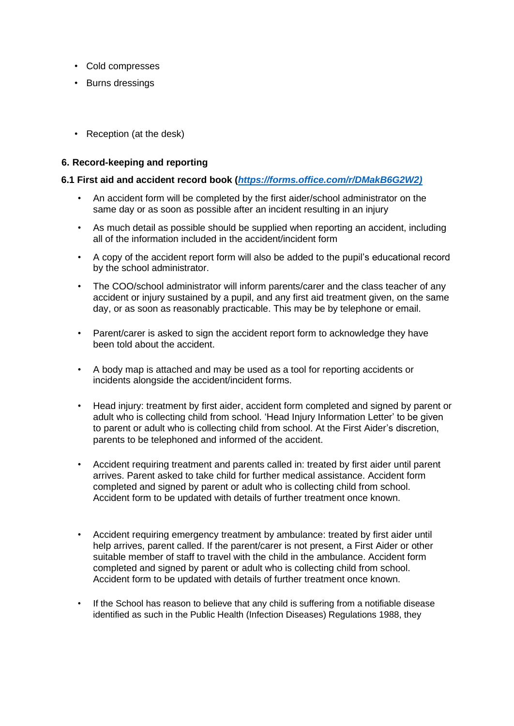- Cold compresses
- Burns dressings
- Reception (at the desk)

#### **6. Record-keeping and reporting**

#### **6.1 First aid and accident record book (***[https://forms.office.com/r/DMakB6G2W2\)](https://forms.office.com/r/DMakB6G2W2)*

- An accident form will be completed by the first aider/school administrator on the same day or as soon as possible after an incident resulting in an injury
- As much detail as possible should be supplied when reporting an accident, including all of the information included in the accident/incident form
- A copy of the accident report form will also be added to the pupil's educational record by the school administrator.
- The COO/school administrator will inform parents/carer and the class teacher of any accident or injury sustained by a pupil, and any first aid treatment given, on the same day, or as soon as reasonably practicable. This may be by telephone or email.
- Parent/carer is asked to sign the accident report form to acknowledge they have been told about the accident.
- A body map is attached and may be used as a tool for reporting accidents or incidents alongside the accident/incident forms.
- Head injury: treatment by first aider, accident form completed and signed by parent or adult who is collecting child from school. 'Head Injury Information Letter' to be given to parent or adult who is collecting child from school. At the First Aider's discretion, parents to be telephoned and informed of the accident.
- Accident requiring treatment and parents called in: treated by first aider until parent arrives. Parent asked to take child for further medical assistance. Accident form completed and signed by parent or adult who is collecting child from school. Accident form to be updated with details of further treatment once known.
- Accident requiring emergency treatment by ambulance: treated by first aider until help arrives, parent called. If the parent/carer is not present, a First Aider or other suitable member of staff to travel with the child in the ambulance. Accident form completed and signed by parent or adult who is collecting child from school. Accident form to be updated with details of further treatment once known.
- If the School has reason to believe that any child is suffering from a notifiable disease identified as such in the Public Health (Infection Diseases) Regulations 1988, they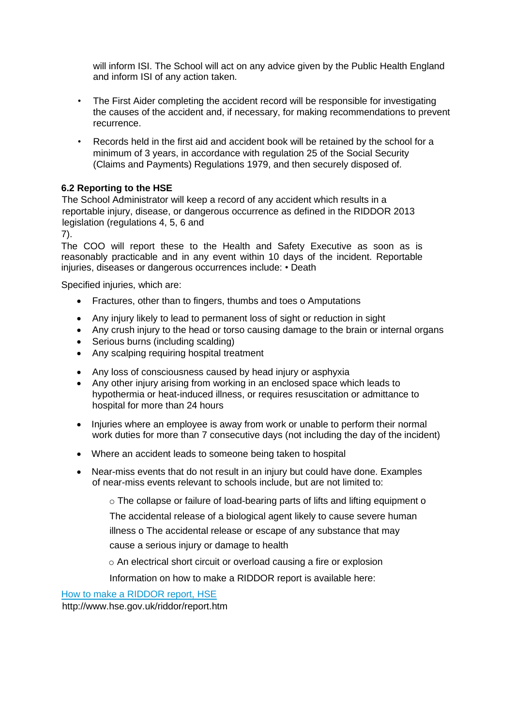will inform ISI. The School will act on any advice given by the Public Health England and inform ISI of any action taken.

- The First Aider completing the accident record will be responsible for investigating the causes of the accident and, if necessary, for making recommendations to prevent recurrence.
- Records held in the first aid and accident book will be retained by the school for a minimum of 3 years, in accordance with regulation 25 of the Social Security (Claims and Payments) Regulations 1979, and then securely disposed of*.*

#### **6.2 Reporting to the HSE**

The School Administrator will keep a record of any accident which results in a reportable injury, disease, or dangerous occurrence as defined in the RIDDOR 2013 legislation (regulations 4, 5, 6 and

7).

The COO will report these to the Health and Safety Executive as soon as is reasonably practicable and in any event within 10 days of the incident. Reportable injuries, diseases or dangerous occurrences include: • Death

Specified injuries, which are:

- Fractures, other than to fingers, thumbs and toes o Amputations
- Any injury likely to lead to permanent loss of sight or reduction in sight
- Any crush injury to the head or torso causing damage to the brain or internal organs
- Serious burns (including scalding)
- Any scalping requiring hospital treatment
- Any loss of consciousness caused by head injury or asphyxia
- Any other injury arising from working in an enclosed space which leads to hypothermia or heat-induced illness, or requires resuscitation or admittance to hospital for more than 24 hours
- Injuries where an employee is away from work or unable to perform their normal work duties for more than 7 consecutive days (not including the day of the incident)
- Where an accident leads to someone being taken to hospital
- Near-miss events that do not result in an injury but could have done. Examples of near-miss events relevant to schools include, but are not limited to:

o The collapse or failure of load-bearing parts of lifts and lifting equipment o

The accidental release of a biological agent likely to cause severe human

illness o The accidental release or escape of any substance that may

cause a serious injury or damage to health

o An electrical short circuit or overload causing a fire or explosion

Information on how to make a RIDDOR report is available here:

[How to make a RIDDOR report, HSE](http://www.hse.gov.uk/riddor/report.htm)

<http://www.hse.gov.uk/riddor/report.htm>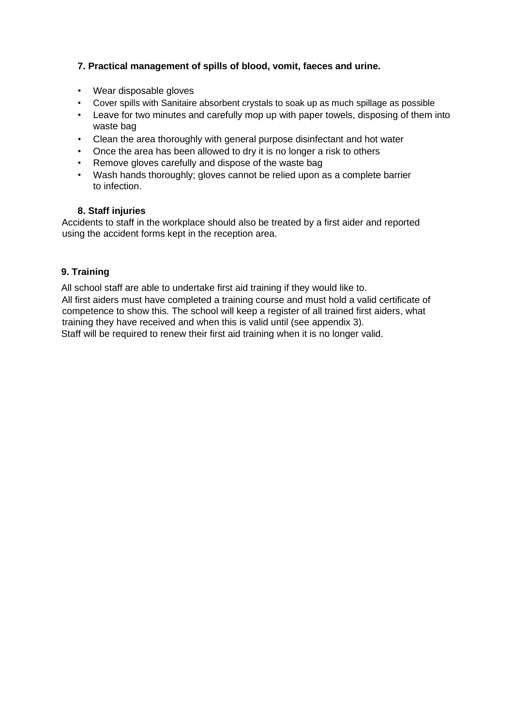#### **7. Practical management of spills of blood, vomit, faeces and urine.**

- Wear disposable gloves
- Cover spills with Sanitaire absorbent crystals to soak up as much spillage as possible
- Leave for two minutes and carefully mop up with paper towels, disposing of them into waste bag
- Clean the area thoroughly with general purpose disinfectant and hot water
- Once the area has been allowed to dry it is no longer a risk to others
- Remove gloves carefully and dispose of the waste bag
- Wash hands thoroughly; gloves cannot be relied upon as a complete barrier to infection.

#### **8. Staff injuries**

Accidents to staff in the workplace should also be treated by a first aider and reported using the accident forms kept in the reception area.

#### **9. Training**

All school staff are able to undertake first aid training if they would like to. All first aiders must have completed a training course and must hold a valid certificate of competence to show this. The school will keep a register of all trained first aiders, what training they have received and when this is valid until (see appendix 3). Staff will be required to renew their first aid training when it is no longer valid.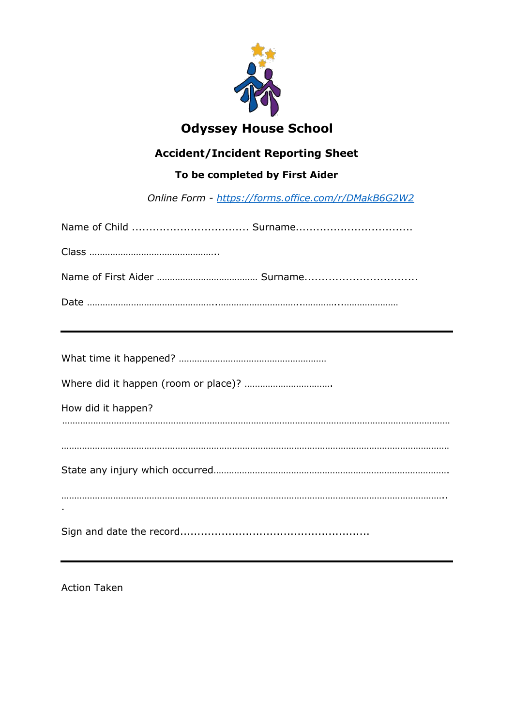

## **Odyssey House School**

## **Accident/Incident Reporting Sheet**

### **To be completed by First Aider**

*Online Form - <https://forms.office.com/r/DMakB6G2W2>*

| How did it happen? |
|--------------------|
|                    |
|                    |
|                    |
|                    |
|                    |

Action Taken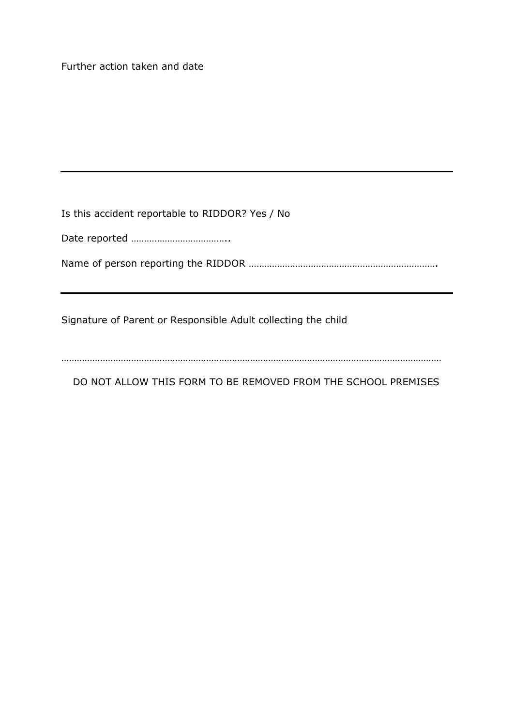Further action taken and date

Is this accident reportable to RIDDOR? Yes / No

Date reported ………………………………..

Name of person reporting the RIDDOR ……………………………………………………………….

Signature of Parent or Responsible Adult collecting the child

…………………………………………………………………………………………………………………………………

DO NOT ALLOW THIS FORM TO BE REMOVED FROM THE SCHOOL PREMISES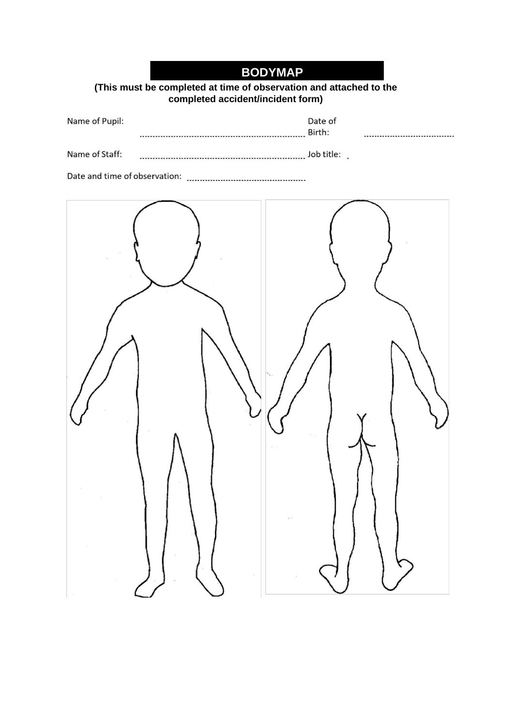|  | <b>BODYMAP</b> |  |  |  |
|--|----------------|--|--|--|
|  |                |  |  |  |

**(This must be completed at time of observation and attached to the completed accident/incident form)**

| Name of Pupil: | Date of<br>Birth: |  |
|----------------|-------------------|--|
| Name of Staff: |                   |  |
|                |                   |  |
|                |                   |  |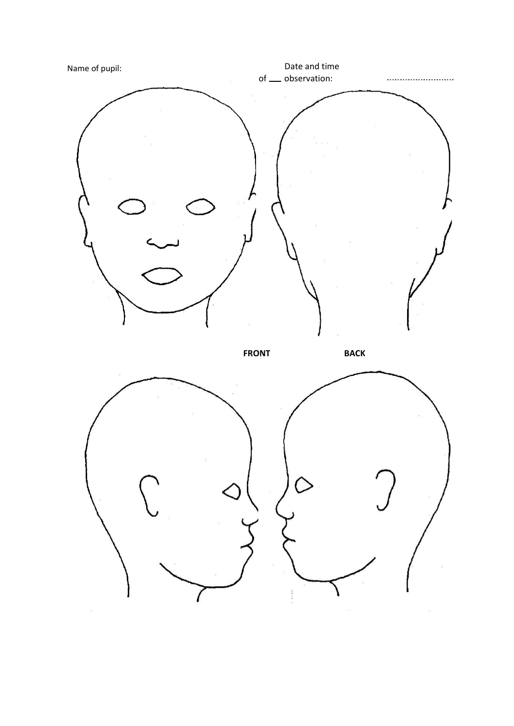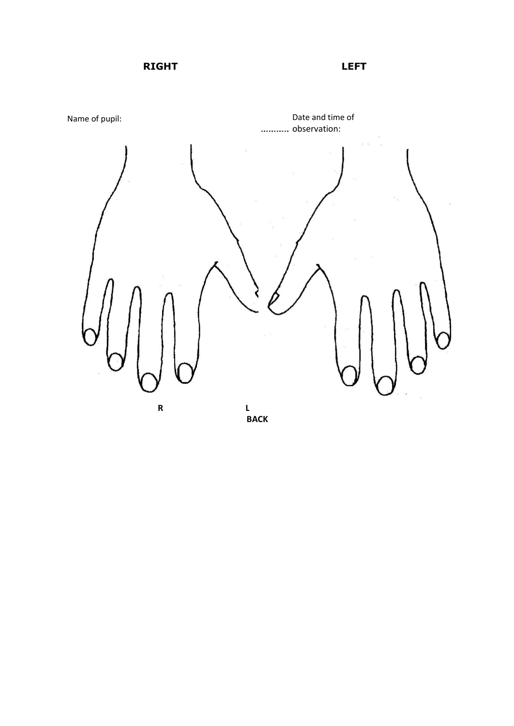**RIGHT LEFT**

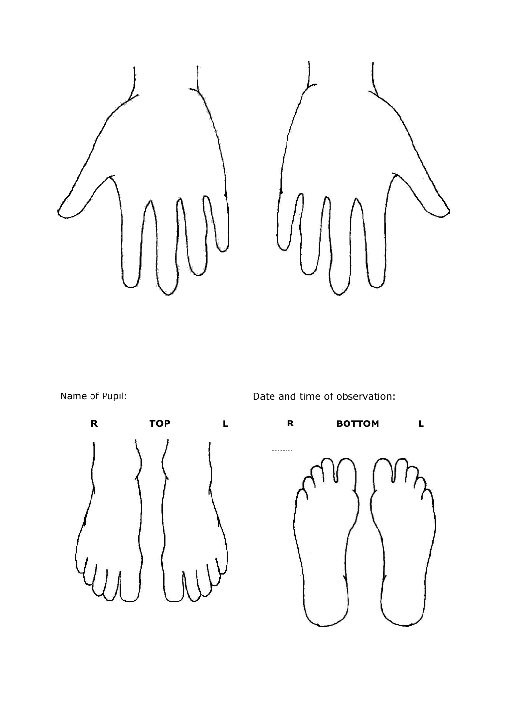

Name of Pupil:  $\qquad \qquad$  Date and time of observation:

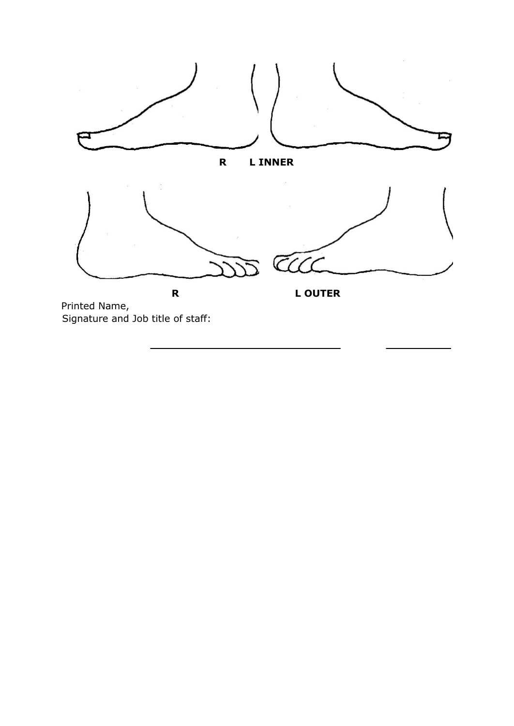